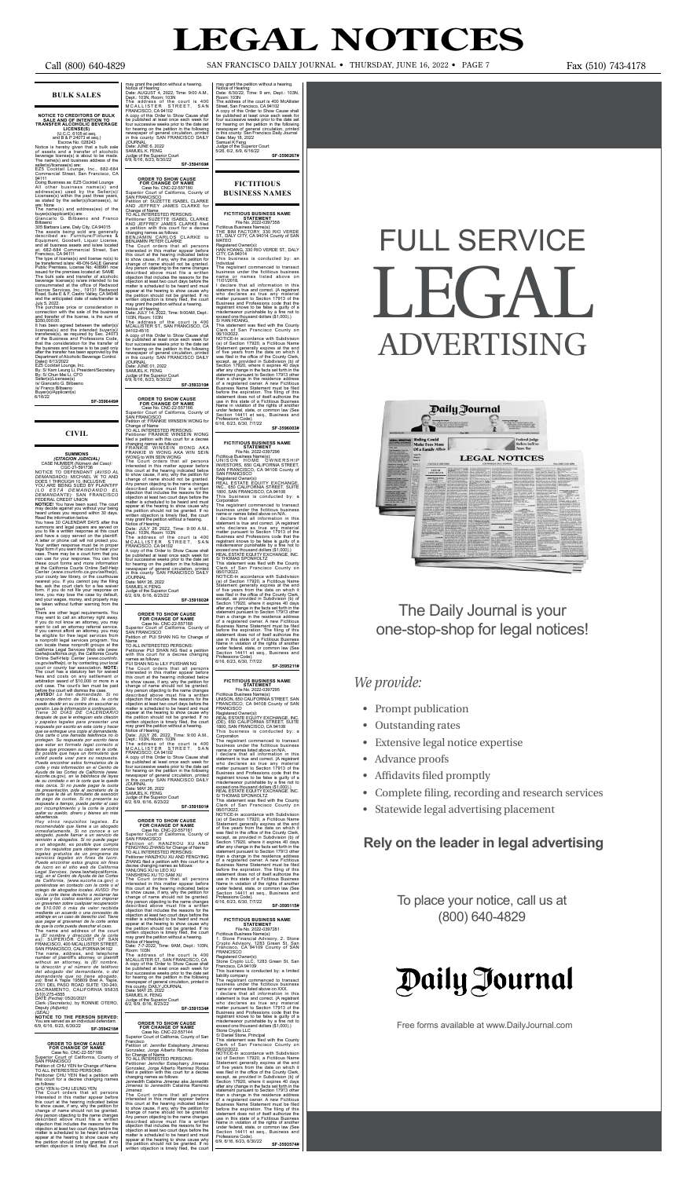## **BULK SALES**

NOTICE TO CREDITORS OF BULK<br>
SALE AND OF INTENTION TO<br>
TRANSFER ALCOHOLIC BEVERAGE<br>
(U.C.C. 6105 et seq.<br>
and B & P 24073 et seq.<br>
and B & P 24073 et seq.<br>
Serow No. 028243<br>
Notice is hereby given that a bulk sale<br>
of asse

Doing Business as: EZ5 Cocktail Lounge<br>All other business name(s) and<br>address(es) used by the Seller(s)/<br>Licensee(s) within the past three years,<br>as stated by the seller(s)/licensee(s), is/

are: None The name(s) and address(es) of the buyer(s)/applicant(s) are:

Giancarlo G. Bilbaeno and Franco<br>Bilbaeno (G. Bilbaeno and Franco<br>305 Banbara Lane, Daly City, CA 94015<br>The assets being sold are generally<br>described as: Furniture/Fixtures &<br>Equipment, Goodwill, Liquor License,<br>and all bu

license(s) and the intended buyer(s)/<br>transferee(s), as required by Sec. 24073<br>of the Business and Professions Code,<br>that the consideration for the transfer of<br>the business and license is to be paid only<br>after the transfer

olibaeno<br>Buyer(s)/Applicant(s)<br>6/16/22

you to file a written response at this court and have a copy served on the plaintiff. A letter or phone call will not protect you.<br>Your written response must be in proper measure legal form if you want the court to hear your<br>case. There may be a court form that you<br>can use for your response. You can find<br>th

There are other legal requirements. You may want to call an attomey right away.<br>If you do not know an attomey, you may<br>If you do not know an attomey ferral service.<br>If you cannot afford an attomey, you may<br>be eligible for *ca.gov/selfhelp*), or by contacting your local court or county bar association. **NOTE:** 

The court has a statutory lien for waived fees and costs on any settlement or arbitration award of \$10,000 or more in a civil case. The court's lien must be paid before the court will dismiss the case.

**SF-3596449#**

**CIVIL**

**CITACION JUDICIAL**<br>CASE NUMBER (Número del Caso):<br>NOTICE TO DEC-21-591736<br>DEMANDADO): MICHAEL W TO AND<br>DOES 1 THROUGH 10, INCLUSIVE<br>DOES 1 THROUGH 10, INCLUSIVE<br>YOU ARE BEING SUED BY PLAINTIFF<br>F(LO ESTÁ - DEMANDANTE): SAN

 $6/9, 6/16, 6/23, 6/30/22$ 6/9, 6/16, 6/23, 6/30/22 **SF-3594218#**

**ORDER TO SHOW CAUSE<br>FOR CHANGE OF NAME<br>Case No. CNC-22-557189<br>Superior Court of California, County of** SAN FRANCISCO Petition of: CHU YEN for Change of Name TO ALL INTERESTED PERSONS: Petitioner CHU YEN filed a petition with this court for a decree changing names

as follows:<br>CHU VEN to CHU LEUNG YEN<br>CHU YEN to CHU LEUNG YEN<br>therested in this matter appear before<br>this court at the hearing indicated below<br>to show cause, if any, why the petition for<br>change of name should not be grante

The Court orders that all persons<br>interested in this matter appear before<br>this court at the hearing indicated below<br>to show cause, if any, why the petition for<br>change of name should not be granted.<br>Any person objecting to appear at the hearing to show cause why<br>the petition should not be granted. If no<br>written objection is timely filed, the court<br>may grant the petition without a hearing.<br>Notice of Hearing:<br>Dapt: 101N 266, 2022, Time: 9:00 A

The address of the court is 400<br>MCALLISTER STREET, SAN<br>FRANCISCO, CA 94102<br>A copy of this Order to Show Cause shall<br>be published at least once each week for<br>four successive weeks prior to the date set<br>for vearing on the pe

may grant the petition without a hearing.<br>Notice of Hearing:<br>Date: AUGUST 4, 2022, Time: 9:00 A.M.,<br>Dept.: 103N, Room: 103N<br>The address of the court is 400<br>MCALLISTER STREET, SAN<br>FRANCISCO, CA 94102<br>FRANCISCO, CA 94102<br>ARA SAMUEL K. FENG Judge of the Superior Court 6/9, 6/16, 6/23, 6/30/22

*¡AVISO! Lo han demandado. Si no responde dentro de 30 días, la corte puede decidir en su contra sin escuchar su versión. Lea la información a continuación. Tiene 30 DÍAS DE CALENDARIO después de que le entreguen esta citación*  y papeles legales para presentar una<br>respuesta por escrito en esta corte y hacer<br>que se entregue una copia al demandante.<br>Una carta o una llamada telefónica no lo<br>protegen. Su respuesta por escrito tiene e<br>que estar en for *de pago de cuotas. Si no presenta su respuesta a tiempo, puede perder el caso por incumplimiento y la corte le podrá quitar su sueldo, dinero y bienes sin más* 

*advertencia.* Hay otros requisitos legales. Es<br>recomendable que llame a un abogado puede la linnediatamente. Si no conoce a un<br>abogado, puede llamar a un servicio de entigado puede pagar<br>a un abogado, es posible que cumpla<br>con los requi *de \$10,000 ó más de valor recibida mediante un acuerdo o una concesión de arbitraje en un caso de derecho civil. Tiene que pagar el gravamen de la corte antes de que la corte pueda desechar el caso.* The name and address of the court

is *(El nombre y dirección de la corte<br>es): SUPERIOR COURT OF SAN<br>FRANCISCO,400 MCALLISTER STREET,<br>SAN FRANCISCO, CALIFORNIA 94102* The name, address, and telephone<br>number of plaintiff's attorney, or plaintiff<br>without an attorney, is (*El nombre,<br>la dirección y el número de teléfono<br>de abogado del demandante, o del<br>demandante que no tiene abogado,<br>es):* 

(510) 275-4555 DATE *(Fecha)*: 05/20/2021 Clerk *(Secretario)*, by RONNIE OTERO, Deputy *(Adjunto) (SEAL)*

**NOTICE TO THE PERSON SERVED:** 

**SF-3594169#**

**FOR CHANGE OF NAME**<br> **FOR CHANGE OF NAME**<br>
Case No. CNC-22-557180<br>
Superior Court of California, County of<br>
SAN FRANCISCO<br>
Petition of: SUZETTE ISABEL CLARKE<br>
AND JEFFREY JAMES CLARKE for

Change of Name<br>TO ALL INTERESTED PERSONS:

TOALL INTERESTED PERSONS:<br>
TOALL INTERESTED PERSONS:<br>
Petitioner SUZETTE ISABEL CLARKE<br>
AND JEFFREY JAMES CLARKE filed<br>
a petition with this court for a decree<br>
BENJAMIN CARLOS CLARKE to<br>
BENJAMIN PETER CLARKE<br>
The Court o

the petition should not be granted. If no<br>written objection is timely filed, the court<br>may grant the petition without a hearing.<br>Notice of Hearing:<br>Date: JULY 14, 2022, Time: 9:00AM, Dept.:<br>103N, Room: 103N<br>The address of

A copy of this Order to Show Cause shall<br>be published at least once each week for<br>four successive weeks prior to the date set<br>for hearing on the petition in the following<br>newspaper of general circulation, printed<br>in this c

NOTICE-In accordance with Subdivision<br>(a) of Section 17920, a Ficilitious Name<br>Statement generally expires at the end<br>of five years from the date on which it<br>was filed in the office of the County Clerk,<br>except, as provided Name in violation of the rights of another under federal, state, or common law (See Section 14411 et seq., Business and Professions Code). 6/16, 6/23, 6/30, 7/7/22

Corporation The registrant commenced to transact business under the fictitious business name or names listed above on N/A. I declare that all information in this statement is true and correct. (A registrant who declares as true any material<br>matter pursuant to Section 17913 of the<br>Business and Professions code that the<br>registrant knows to be false is guilty of a<br>misdemeanor punishable by a fine not to<br>exceed one thousand dolla

Date: JUNE 01, 2022 SAMUEL K. FENG Judge of the Superior Court 6/9, 6/16, 6/23, 6/30/22

**SF-3593310#**

**ORDER TO SHOW CAUSE<br>
FOR CHANGE OF NAME**<br>
Case No. CNC-22-557166<br>
Superior Court of California, County of<br>
SAN FRANCISCO<br>
Petition of: FRANKIE WINSEIN WONG for

Change of Name<br>
Change of Name<br>
TO ALL INTERESTED PERSONS:<br>
TO ALL INTERESTED PERSONS:<br>
TO ALL INTERESTED PERSONS:<br>
THE COME COMES CONSING TO A CARR FRANKIE W WONG AKA WIN SEIN<br>
FRANKIE WINSEN WONG<br>
FRANKIE WINSEN WONG<br>
FR

name or names listed above on XXX. I declare that all information in this statement is true and correct. (A registrant<br>who declares as true any material<br>matter pursuant to Section 17913 of the<br>Business and Professions code that the<br>registrant knows to be false is guilty of a<br>misdemeanor punishab

NOTICE-In accordance with Subdivision (a) of Section 17920, a Fictitious Name Statement generally expires at the end of five years from the date on which it was filed in the office of the County Clerk, except, as provided in Subdivision (b) of Section 17920, where it expires 40 days after any change in the facts set forth in the statement pursuant to Section 17913 other than a change in the residence address of a registered owner. A new Fictitious Business Name Statement must be filed before the expiration. The filing of this statement does not of itself authorize the use in this state of a Fictitious Business Name in violation of the rights of another under federal, state, or common law (See Section 14411 et seq., Business and

**SF-3591802#**

**ORDER TO SHOW CAUSE<br>
FOR CHANGE OF NAME**<br>
Case No. CNC-22-557168<br>
Superior Court of California, County of<br>
SAN FRANCISCO

Petition of: PUI SHAN NG for Change of Name TO ALL INTERESTED PERSONS:

- Prompt publication
- Outstanding rates
- Extensive legal notice expertise
- Advance proofs
- Affidavits filed promptly
- Complete filing, recording and research services
- Statewide legal advertising placement

Petitioner PUI SHAN NG filed a petition with this court for a decree changing names as follows: PUI SHAN NG to LILY PUISHAN NG

may grant the petition without a hearing.<br>Notice of Hearing:<br>Date: 6/30/22, Time: 9 am, Dept.: 103N,<br>Room: 103N<br>The address of the court is 400 McAllister<br>Street, San Francisco, CA 94102<br>A Tee dides at least once each week

Date: MAY 26, 2022 SAMUEL K. FENG Judge of the Superior Court 6/2, 6/9, 6/16, 6/23/22 **SF-3591801#**

**CREACT SHOW CAUSE**<br>
CREAT TO SHOW CAUSE<br>
Case No. CNC-22-557161<br>
Superior Court of California, County of<br>
SAN FRANCISCO<br>
POR CHANG for California, County of<br>
Petition of: HANZHOU XU AND<br>
FENGYING ZHANG for Change of Name<br>

Date: MAY 25, 2022 SAMUEL K. FENG Judge of the Superior Court 6/2, 6/9, 6/16, 6/23/22

**SF-3591534#**

**ORDER TO SHOW CAUSE<br>FOR CHANGE OF NAME<br>Case No. CNC-22-557144<br>Superior Court of California, County of San** 

Francisco Petition of: Jennifer Estephany Jimenez Gonzalez, Jorge Alberto Ramirez Rodas for Change of Name TO ALL INTERESTED PERSONS:

Petitioner Jennifer Estephany Jimenez<br>Gonzalez, Jorge Alberto Ramirez Rodas<br>filed a petition with this court for a decree<br>changing names as follows:<br>Jennedith Catalina Jimenez to Jennedith<br>Jimenez to Jennedith Catalina Ram

Jimenz<br>The Court orders that all persons<br>The Court orders that all persons<br>the court at the hearing indicated below<br>to show cause, if any, why the petition for<br>change of name should not be granted.<br>Any person objecting to

**FICTITIOUS BUSINESS NAME**<br>
STATEMENT<br>
File No. 2022-0397295<br>
Fictitious Business Name(s):<br>
UNISON, 650 CALIFORNIA STREET, SAN<br>
FRANCISCO, CA 94108 County of SAN<br>
FRANCISCO

Registered Owner(s):<br>REAL ESTATE EQUITY EXCHANGE, INC.<br>(DE), 650 CALIFORNIA STREET, SUITE<br>1800, SAN FRANCISCO, CA 94108<br>This business is conducted by: a

### **FICTITIOUS BUSINESS NAMES**

**FICTITIOUS BUSINESTS NAME<br>
Fictitious Business Name(s):<br>Fictitious Business Name(s):<br>THE BIM FACTORY, 330 RIO VERDE<br>THE BIM FACTORY, 330 RIO VERDE<br>ST., DALY CITY, CA 94014 County of SAN<br>MATEO** 

Registered Owner(s): HAN HOANG, 330 RIO VERDE ST., DALY CITY, CA 94014

This business is conducted by: an Infinition University and the first<br>increase under the firstitions business and the mean or names itsed above on<br>name or names listed above on 1/01/2018.<br>Individual<br>and or names of the fir

**SF-3596003#**

**FICTITIOUS BUSINESS NAME<br>File No. 2022-0397296**<br>Fictitious Business Name(s):<br>U N I S O N H O M E O W N E R S H I P<br>INVESTORS, 650 CALIFORNIA STREET,<br>SAN FRANCISCO, CA 94108 County of<br>SAN FRANCISCO

Registered Owner(s): REAL ESTATE EQUITY EXCHANGE, INC., 650 CALIFORNIA STREET, SUITE 1800, SAN FRANCISCO, CA 94108 This business is conducted by: a

Corporation The registrant commenced to transact business under the fictitious business name or names listed above on N/A. I declare that all information in this

statement is true and correct. (A registrant who declares as true any material matter pursuant to Section 17913 of the Business and Professions code that the registrant knows to be false is guilty of a misdemeanor punishable by a fine not to exceed one thousand dollars (\$1,000).) REAL ESTATE EQUITY EXCHANGE, INC. S/ THOMAS SPONHOLTZ

This statement was filed with the County Clerk of San Francisco County on 06/07/2022.

### **SF-3595211#**

This statement was filed with the County Clerk of San Francisco County on 06/07/2022. NOTICE-In accordance with Subdivision

(a) of Section 17920, a Fictitious Name Statement generally expires at the end of five years from the date on which it was filed in the office of the County Clerk, except, as provided in Subdivision (b) of Section 17920, where it expires 40 days after any change in the facts set forth in the<br>statement pursuant to Section 17913 other statement pursuant to Section 17913 other<br>than a change in the residence address<br>of a registered owner. A new Fictitious<br>Business Name Statement must be filed<br>before the expiration. The filing of this<br>statement does not of under federal, state, or common law (See Section 14411 et seq., Business and Professions Code). 6/16, 6/23, 6/30, 7/7/22 **SF-3595115#**

**FICTITIOUS BUSINESS NAME STATEMENT** File No. 2022-0397281

Fictitious Business Name(s): 1. Stone Financial Advisory, 2. Stone Crypto Advisory, 1283 Green St, San Francisco, CA 94109 County of SAN FRANCISCO

Registered Owner(s): Stone Crypto LLC, 1283 Green St, San Francisco, CA 94109 This business is conducted by: a limited

liability company The registrant commenced to transact business under the fictitious business

Professions Code). 6/9, 6/16, 6/23, 6/30/22 **SF-3593574#**

# **LEGAL NOTICES**

Call (800) 640-4829 san francisco Daily Journal •THURSDAY, JUNE 16, 2022 •Page 7 Fax (510) 743-4178

# FULL SERVICE  $L.H.$ ADVERTISING



## *We provide:*

## **Rely on the leader in legal advertising**

The Daily Journal is your one-stop-shop for legal notices!

Free forms available at www.DailyJournal.com

To place your notice, call us at (800) 640-4829